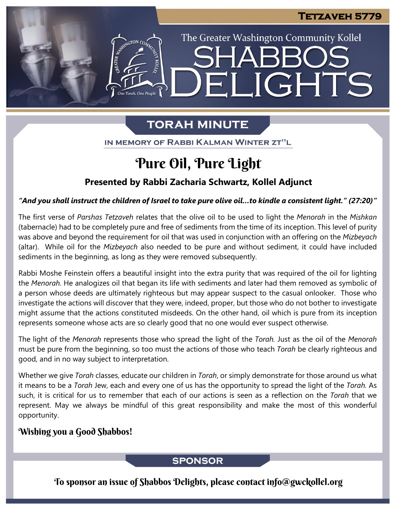The Greater Washington Community Kollel

ELIGHTS

# **TORAH MINUTE**

ASSEMBATON CO

IN MEMORY OF RABBI KALMAN WINTER ZT"L

# Pure Oil, Pure Light

## **Presented by Rabbi Zacharia Schwartz, Kollel Adjunct**

#### "And you shall instruct the children of Israel to take pure olive oil...to kindle a consistent light." (27:20)"

The first verse of *Parshas Tetzaveh* relates that the olive oil to be used to light the *Menorah* in the *Mishkan* (tabernacle) had to be completely pure and free of sediments from the time of its inception. This level of purity was above and beyond the requirement for oil that was used in conjunction with an offering on the *Mizbeyach* (altar). While oil for the *Mizbeyach* also needed to be pure and without sediment, it could have included sediments in the beginning, as long as they were removed subsequently.

Rabbi Moshe Feinstein offers a beautiful insight into the extra purity that was required of the oil for lighting the *Menorah.* He analogizes oil that began its life with sediments and later had them removed as symbolic of a person whose deeds are ultimately righteous but may appear suspect to the casual onlooker. Those who investigate the actions will discover that they were, indeed, proper, but those who do not bother to investigate might assume that the actions constituted misdeeds. On the other hand, oil which is pure from its inception represents someone whose acts are so clearly good that no one would ever suspect otherwise.

The light of the *Menorah* represents those who spread the light of the *Torah.* Just as the oil of the *Menorah* must be pure from the beginning, so too must the actions of those who teach *Torah* be clearly righteous and good, and in no way subject to interpretation.

Whether we give *Torah* classes, educate our children in *Torah*, or simply demonstrate for those around us what it means to be a *Torah* Jew, each and every one of us has the opportunity to spread the light of the *Torah.* As such, it is critical for us to remember that each of our actions is seen as a reflection on the *Torah* that we represent. May we always be mindful of this great responsibility and make the most of this wonderful opportunity.

## Wishing you a Good Shabbos!

### **SPONSOR**

To sponsor an issue of Shabbos Delights, please contact info@gwckollel.org